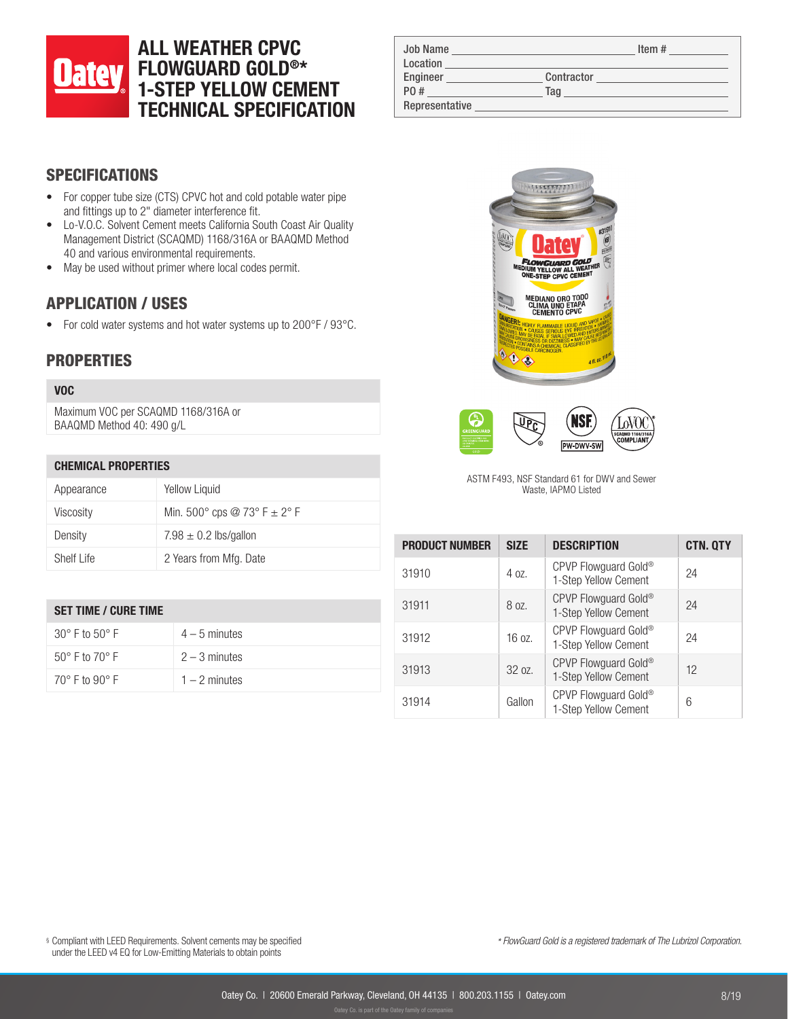# ALL WEATHER CPVC FLOWGUARD GOLD®\* 1-STEP YELLOW CEMENT TECHNICAL SPECIFICATION

| <b>Job Name</b><br>Location |            | Item# |
|-----------------------------|------------|-------|
| Engineer                    | Contractor |       |
| P0 #                        | Tag        |       |
| Representative              |            |       |

# SPECIFICATIONS

- For copper tube size (CTS) CPVC hot and cold potable water pipe and fittings up to 2" diameter interference fit.
- Lo-V.O.C. Solvent Cement meets California South Coast Air Quality Management District (SCAQMD) 1168/316A or BAAQMD Method 40 and various environmental requirements.
- May be used without primer where local codes permit.

## APPLICATION / USES

• For cold water systems and hot water systems up to 200°F / 93°C.

### **PROPERTIES**

#### VOC

Maximum VOC per SCAQMD 1168/316A or BAAQMD Method 40: 490 g/L

#### CHEMICAL PROPERTIES

| Appearance | Yellow Liquid                             |
|------------|-------------------------------------------|
| Viscosity  | Min. $500^{\circ}$ cps @ 73° F $\pm$ 2° F |
| Density    | 7.98 $\pm$ 0.2 lbs/gallon                 |
| Shelf Life | 2 Years from Mfg. Date                    |

#### SET TIME / CURE TIME

| 30° F to 50° F                   | $4-5$ minutes   |
|----------------------------------|-----------------|
| $50^{\circ}$ F to $70^{\circ}$ F | $2 - 3$ minutes |
| $70^{\circ}$ F to $90^{\circ}$ F | $1 - 2$ minutes |





ASTM F493, NSF Standard 61 for DWV and Sewer Waste, IAPMO Listed

| <b>PRODUCT NUMBER</b> | <b>SIZE</b> | <b>DESCRIPTION</b>                                       | <b>CTN. QTY</b> |
|-----------------------|-------------|----------------------------------------------------------|-----------------|
| 31910                 | $40z$ .     | CPVP Flowguard Gold®<br>1-Step Yellow Cement             | 24              |
| 31911                 | 8 oz.       | CPVP Flowguard Gold®<br>1-Step Yellow Cement             | 24              |
| 31912                 | 16 oz.      | CPVP Flowguard Gold <sup>®</sup><br>1-Step Yellow Cement | 24              |
| 31913                 | 3207        | CPVP Flowguard Gold®<br>1-Step Yellow Cement             | 12              |
| 31914                 | Gallon      | CPVP Flowguard Gold <sup>®</sup><br>1-Step Yellow Cement | 6               |

§ Compliant with LEED Requirements. Solvent cements may be specified under the LEED v4 EQ for Low-Emitting Materials to obtain points

*\* FlowGuard Gold is a registered trademark of The Lubrizol Corporation.*